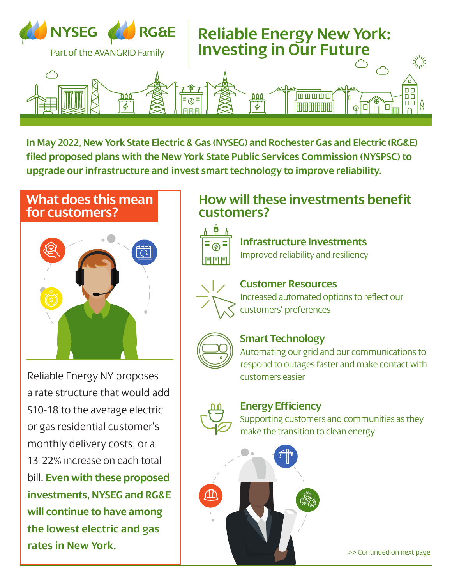

 $\mathbf{b}$ i wiay zuzz,  $l$ od proposos ieu propos  $U\geq k$ w TUINJLA plane with the New York State Dublic Ser  $left 0$  Can  $ec$ ic $\alpha$  das th  $P(\mathcal{L})$  and  $\mathcal{D}(\mathcal{L})$ a lower vo <u>r</u> upite  $\epsilon$ tor $\epsilon$ as and  $\mathsf{t}$ turi das  $\mathsf{t}$ c Comm filed proposed plans with the New York State Public Services Commission (NYSPSC) to  $\text{c}$ In May 2022, New York State Electric & Gas (NYSEG) and Rochester Gas and Electric (RG&E) **upgrade our infrastructure and invest smart technology to improve reliability.**

#### **What does this mean for customers?**



Reliable Energy NY proposes a rate structure that would add \$10-18 to the average electric or gas residential customer's monthly delivery costs, or a 13-22% increase on each total bill. **Even with these proposed investments, NYSEG and RG&E will continue to have among the lowest electric and gas rates in New York.**

## **How will these investments benefit customers?**



**Infrastructure Investments** Improved reliability and resiliency



#### **Customer Resources**

Increased automated options to reflect our customers' preferences



#### **Smart Technology**

Automating our grid and our communications to respond to outages faster and make contact with customers easier



#### **Energy Efficiency**

Supporting customers and communities as they make the transition to clean energy



>> Continued on next page